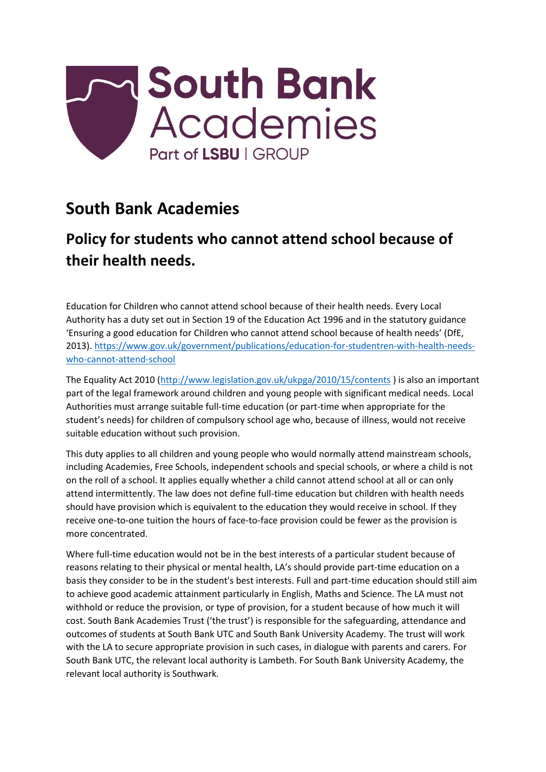

## **South Bank Academies**

## **Policy for students who cannot attend school because of their health needs.**

Education for Children who cannot attend school because of their health needs. Every Local Authority has a duty set out in Section 19 of the Education Act 1996 and in the statutory guidance 'Ensuring a good education for Children who cannot attend school because of health needs' (DfE, 2013). [https://www.gov.uk/government/publications/education-for-studentren-with-health-needs](https://www.gov.uk/government/publications/education-for-children-with-health-needs-who-cannot-attend-school)[who-cannot-attend-school](https://www.gov.uk/government/publications/education-for-children-with-health-needs-who-cannot-attend-school)

The Equality Act 2010 [\(http://www.legislation.gov.uk/ukpga/2010/15/contents](http://www.legislation.gov.uk/ukpga/2010/15/contents) ) is also an important part of the legal framework around children and young people with significant medical needs. Local Authorities must arrange suitable full-time education (or part-time when appropriate for the student's needs) for children of compulsory school age who, because of illness, would not receive suitable education without such provision.

This duty applies to all children and young people who would normally attend mainstream schools, including Academies, Free Schools, independent schools and special schools, or where a child is not on the roll of a school. It applies equally whether a child cannot attend school at all or can only attend intermittently. The law does not define full-time education but children with health needs should have provision which is equivalent to the education they would receive in school. If they receive one-to-one tuition the hours of face-to-face provision could be fewer as the provision is more concentrated.

Where full-time education would not be in the best interests of a particular student because of reasons relating to their physical or mental health, LA's should provide part-time education on a basis they consider to be in the student's best interests. Full and part-time education should still aim to achieve good academic attainment particularly in English, Maths and Science. The LA must not withhold or reduce the provision, or type of provision, for a student because of how much it will cost. South Bank Academies Trust ('the trust') is responsible for the safeguarding, attendance and outcomes of students at South Bank UTC and South Bank University Academy. The trust will work with the LA to secure appropriate provision in such cases, in dialogue with parents and carers. For South Bank UTC, the relevant local authority is Lambeth. For South Bank University Academy, the relevant local authority is Southwark.